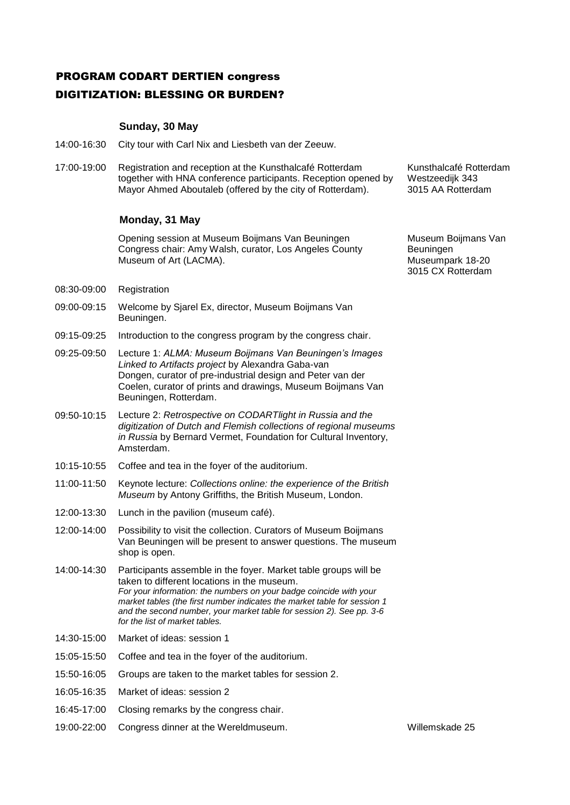## PROGRAM CODART DERTIEN congress DIGITIZATION: BLESSING OR BURDEN?

## **Sunday, 30 May**

- 14:00-16:30 City tour with Carl Nix and Liesbeth van der Zeeuw.
- 17:00-19:00 Registration and reception at the Kunsthalcafé Rotterdam together with HNA conference participants. Reception opened by Mayor Ahmed Aboutaleb (offered by the city of Rotterdam).

## **Monday, 31 May**

Opening session at Museum Boijmans Van Beuningen Congress chair: Amy Walsh, curator, Los Angeles County Museum of Art (LACMA).

- 08:30-09:00 Registration
- 09:00-09:15 Welcome by Sjarel Ex, director, Museum Boijmans Van Beuningen.
- 09:15-09:25 Introduction to the congress program by the congress chair.
- 09:25-09:50 Lecture 1: *ALMA: Museum Boijmans Van Beuningen's Images Linked to Artifacts project* by Alexandra Gaba-van Dongen, curator of pre-industrial design and Peter van der Coelen, curator of prints and drawings, Museum Boijmans Van Beuningen, Rotterdam.
- 09:50-10:15 Lecture 2: *Retrospective on CODARTlight in Russia and the digitization of Dutch and Flemish collections of regional museums in Russia* by Bernard Vermet, Foundation for Cultural Inventory, Amsterdam.
- 10:15-10:55 Coffee and tea in the foyer of the auditorium.
- 11:00-11:50 Keynote lecture: *Collections online: the experience of the British Museum* by Antony Griffiths, the British Museum, London.
- 12:00-13:30 Lunch in the pavilion (museum café).
- 12:00-14:00 Possibility to visit the collection. Curators of Museum Boijmans Van Beuningen will be present to answer questions. The museum shop is open.
- 14:00-14:30 Participants assemble in the foyer. Market table groups will be taken to different locations in the museum. *For your information: the numbers on your badge coincide with your market tables (the first number indicates the market table for session 1 and the second number, your market table for session 2). See pp. 3-6 for the list of market tables.*
- 14:30-15:00 Market of ideas: session 1
- 15:05-15:50 Coffee and tea in the foyer of the auditorium.
- 15:50-16:05 Groups are taken to the market tables for session 2.
- 16:05-16:35 Market of ideas: session 2
- 16:45-17:00 Closing remarks by the congress chair.
- 19:00-22:00 Congress dinner at the Wereldmuseum. Willemskade 25

Kunsthalcafé Rotterdam Westzeedijk 343 3015 AA Rotterdam

Museum Boijmans Van Beuningen Museumpark 18-20 3015 CX Rotterdam